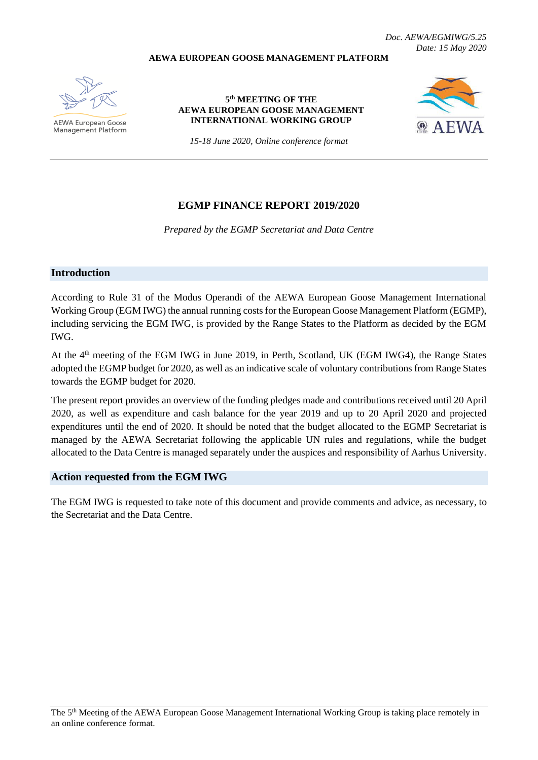#### **AEWA EUROPEAN GOOSE MANAGEMENT PLATFORM**

*Doc. AEWA/EGMIWG/5.25 Date: 15 May 2020*

**AEWA European Goose Management Platform** 

#### **5 th MEETING OF THE AEWA EUROPEAN GOOSE MANAGEMENT INTERNATIONAL WORKING GROUP**



*15-18 June 2020, Online conference format*

## **EGMP FINANCE REPORT 2019/2020**

*Prepared by the EGMP Secretariat and Data Centre*

#### **Introduction**

According to Rule 31 of the Modus Operandi of the AEWA European Goose Management International Working Group (EGM IWG) the annual running costs for the European Goose Management Platform (EGMP), including servicing the EGM IWG, is provided by the Range States to the Platform as decided by the EGM IWG.

At the 4<sup>th</sup> meeting of the EGM IWG in June 2019, in Perth, Scotland, UK (EGM IWG4), the Range States adopted the EGMP budget for 2020, as well as an indicative scale of voluntary contributions from Range States towards the EGMP budget for 2020.

The present report provides an overview of the funding pledges made and contributions received until 20 April 2020, as well as expenditure and cash balance for the year 2019 and up to 20 April 2020 and projected expenditures until the end of 2020. It should be noted that the budget allocated to the EGMP Secretariat is managed by the AEWA Secretariat following the applicable UN rules and regulations, while the budget allocated to the Data Centre is managed separately under the auspices and responsibility of Aarhus University.

#### **Action requested from the EGM IWG**

The EGM IWG is requested to take note of this document and provide comments and advice, as necessary, to the Secretariat and the Data Centre.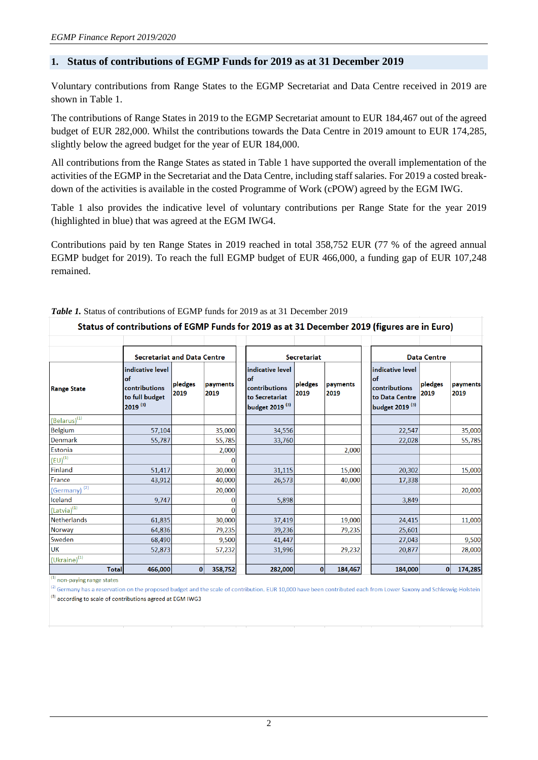## **1. Status of contributions of EGMP Funds for 2019 as at 31 December 2019**

Voluntary contributions from Range States to the EGMP Secretariat and Data Centre received in 2019 are shown in Table 1.

The contributions of Range States in 2019 to the EGMP Secretariat amount to EUR 184,467 out of the agreed budget of EUR 282,000. Whilst the contributions towards the Data Centre in 2019 amount to EUR 174,285, slightly below the agreed budget for the year of EUR 184,000.

All contributions from the Range States as stated in Table 1 have supported the overall implementation of the activities of the EGMP in the Secretariat and the Data Centre, including staff salaries. For 2019 a costed breakdown of the activities is available in the costed Programme of Work (cPOW) agreed by the EGM IWG.

Table 1 also provides the indicative level of voluntary contributions per Range State for the year 2019 (highlighted in blue) that was agreed at the EGM IWG4.

Contributions paid by ten Range States in 2019 reached in total 358,752 EUR (77 % of the agreed annual EGMP budget for 2019). To reach the full EGMP budget of EUR 466,000, a funding gap of EUR 107,248 remained.

|                                |                                                                                           |                 |                  |                                                                                          |                 |                  | Status of contributions of EGMP Funds for 2019 as at 31 December 2019 (figures are in Euro) |                 |                  |
|--------------------------------|-------------------------------------------------------------------------------------------|-----------------|------------------|------------------------------------------------------------------------------------------|-----------------|------------------|---------------------------------------------------------------------------------------------|-----------------|------------------|
|                                |                                                                                           |                 |                  |                                                                                          |                 |                  |                                                                                             |                 |                  |
|                                | <b>Secretariat and Data Centre</b>                                                        |                 |                  | <b>Secretariat</b>                                                                       |                 |                  | <b>Data Centre</b>                                                                          |                 |                  |
| <b>Range State</b>             | indicative level<br><b>of</b><br>contributions<br>to full budget<br>$2019$ <sup>(3)</sup> | pledges<br>2019 | payments<br>2019 | indicative level<br>lof<br>contributions<br>to Secretariat<br>budget 2019 <sup>(3)</sup> | pledges<br>2019 | payments<br>2019 | indicative level<br>of<br>contributions<br>to Data Centre<br>budget 2019 <sup>(3)</sup>     | pledges<br>2019 | payments<br>2019 |
| (Belarus) <sup>(1)</sup>       |                                                                                           |                 |                  |                                                                                          |                 |                  |                                                                                             |                 |                  |
| <b>Belgium</b>                 | 57,104                                                                                    |                 | 35,000           | 34,556                                                                                   |                 |                  | 22,547                                                                                      |                 | 35,000           |
| <b>Denmark</b>                 | 55,787                                                                                    |                 | 55,785           | 33,760                                                                                   |                 |                  | 22,028                                                                                      |                 | 55,785           |
| Estonia                        |                                                                                           |                 | 2,000            |                                                                                          |                 | 2,000            |                                                                                             |                 |                  |
| $\left(\text{EU}\right)^{(1)}$ |                                                                                           |                 |                  |                                                                                          |                 |                  |                                                                                             |                 |                  |
| Finland                        | 51,417                                                                                    |                 | 30,000           | 31,115                                                                                   |                 | 15,000           | 20,302                                                                                      |                 | 15,000           |
| France                         | 43,912                                                                                    |                 | 40,000           | 26,573                                                                                   |                 | 40,000           | 17,338                                                                                      |                 |                  |
| (Germany) <sup>(2)</sup>       |                                                                                           |                 | 20,000           |                                                                                          |                 |                  |                                                                                             |                 | 20,000           |
| Iceland                        | 9,747                                                                                     |                 |                  | 5,898                                                                                    |                 |                  | 3,849                                                                                       |                 |                  |
| $(Latvia)^{(1)}$               |                                                                                           |                 |                  |                                                                                          |                 |                  |                                                                                             |                 |                  |
| <b>Netherlands</b>             | 61,835                                                                                    |                 | 30,000           | 37,419                                                                                   |                 | 19,000           | 24,415                                                                                      |                 | 11,000           |
| <b>Norway</b>                  | 64,836                                                                                    |                 | 79,235           | 39,236                                                                                   |                 | 79,235           | 25,601                                                                                      |                 |                  |
| Sweden                         | 68,490                                                                                    |                 | 9,500            | 41,447                                                                                   |                 |                  | 27,043                                                                                      |                 | 9,500            |
| <b>UK</b>                      | 52,873                                                                                    |                 | 57,232           | 31,996                                                                                   |                 | 29,232           | 20,877                                                                                      |                 | 28,000           |
| $(Uk^{\text{raine}})^{(1)}$    |                                                                                           |                 |                  |                                                                                          |                 |                  |                                                                                             |                 |                  |
| <b>Total</b>                   | 466,000                                                                                   | $\mathbf{0}$    | 358,752          | 282,000                                                                                  | $\mathbf{0}$    | 184,467          | 184,000                                                                                     | $\mathbf{0}$    | 174,285          |

#### *Table 1.* Status of contributions of EGMP funds for 2019 as at 31 December 2019

 $<sup>(1)</sup>$  non-paving range states</sup>

 $^{(2)}$  Germany has a reservation on the proposed budget and the scale of contribution. EUR 10,000 have been contributed each from Lower Saxony and Schleswig-Holstein (3) according to scale of contributions agreed at EGM IWG3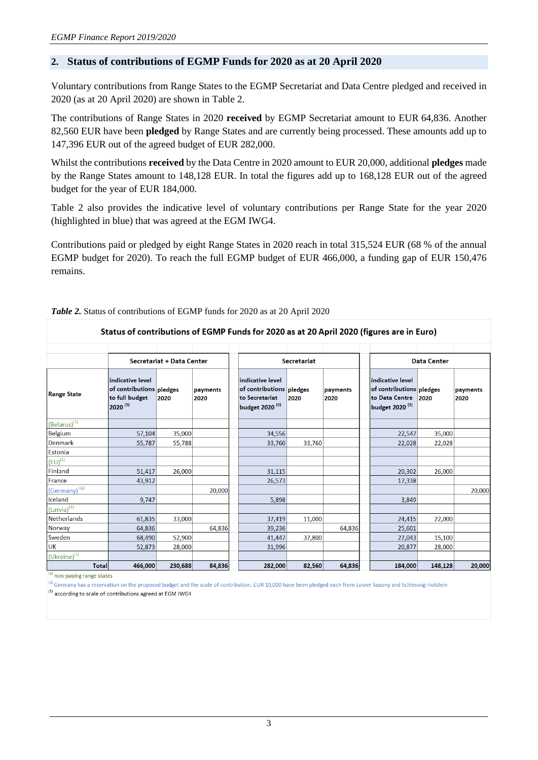#### **2. Status of contributions of EGMP Funds for 2020 as at 20 April 2020**

Voluntary contributions from Range States to the EGMP Secretariat and Data Centre pledged and received in 2020 (as at 20 April 2020) are shown in Table 2.

The contributions of Range States in 2020 **received** by EGMP Secretariat amount to EUR 64,836. Another 82,560 EUR have been **pledged** by Range States and are currently being processed. These amounts add up to 147,396 EUR out of the agreed budget of EUR 282,000.

Whilst the contributions **received** by the Data Centre in 2020 amount to EUR 20,000, additional **pledges** made by the Range States amount to 148,128 EUR. In total the figures add up to 168,128 EUR out of the agreed budget for the year of EUR 184,000.

Table 2 also provides the indicative level of voluntary contributions per Range State for the year 2020 (highlighted in blue) that was agreed at the EGM IWG4.

Contributions paid or pledged by eight Range States in 2020 reach in total 315,524 EUR (68 % of the annual EGMP budget for 2020). To reach the full EGMP budget of EUR 466,000, a funding gap of EUR 150,476 remains.

|                             |                                                                                |                           |                  | Status of contributions of EGMP Funds for 2020 as at 20 April 2020 (figures are in Euro)     |                    |                  |                                                                                              |                    |                  |
|-----------------------------|--------------------------------------------------------------------------------|---------------------------|------------------|----------------------------------------------------------------------------------------------|--------------------|------------------|----------------------------------------------------------------------------------------------|--------------------|------------------|
|                             |                                                                                | Secretariat + Data Center |                  |                                                                                              | <b>Secretariat</b> |                  |                                                                                              | <b>Data Center</b> |                  |
| <b>Range State</b>          | indicative level<br>of contributions pledges<br>to full budget<br>$2020^{(3)}$ | 2020                      | payments<br>2020 | indicative level<br>of contributions pledges<br>to Secretariat<br>budget 2020 <sup>(3)</sup> | 2020               | payments<br>2020 | indicative level<br>of contributions pledges<br>to Data Centre<br>budget 2020 <sup>(3)</sup> | 2020               | payments<br>2020 |
| $(Belarus)^{(1)}$           |                                                                                |                           |                  |                                                                                              |                    |                  |                                                                                              |                    |                  |
| Belgium                     | 57,104                                                                         | 35,000                    |                  | 34,556                                                                                       |                    |                  | 22,547                                                                                       | 35,000             |                  |
| <b>Denmark</b>              | 55,787                                                                         | 55,788                    |                  | 33,760                                                                                       | 33,760             |                  | 22,028                                                                                       | 22,028             |                  |
| <b>Estonia</b>              |                                                                                |                           |                  |                                                                                              |                    |                  |                                                                                              |                    |                  |
| $(EU)^{(1)}$                |                                                                                |                           |                  |                                                                                              |                    |                  |                                                                                              |                    |                  |
| <b>Finland</b>              | 51,417                                                                         | 26,000                    |                  | 31,115                                                                                       |                    |                  | 20,302                                                                                       | 26,000             |                  |
| France                      | 43,912                                                                         |                           |                  | 26,573                                                                                       |                    |                  | 17,338                                                                                       |                    |                  |
| (Germany) <sup>(2)</sup>    |                                                                                |                           | 20,000           |                                                                                              |                    |                  |                                                                                              |                    | 20,000           |
| Iceland                     | 9,747                                                                          |                           |                  | 5,898                                                                                        |                    |                  | 3,849                                                                                        |                    |                  |
| $(Latvia)^{(1)}$            |                                                                                |                           |                  |                                                                                              |                    |                  |                                                                                              |                    |                  |
| <b>Netherlands</b>          | 61,835                                                                         | 33,000                    |                  | 37,419                                                                                       | 11,000             |                  | 24,415                                                                                       | 22,000             |                  |
| <b>Norway</b>               | 64,836                                                                         |                           | 64,836           | 39,236                                                                                       |                    | 64,836           | 25,601                                                                                       |                    |                  |
| Sweden                      | 68,490                                                                         | 52,900                    |                  | 41,447                                                                                       | 37,800             |                  | 27,043                                                                                       | 15,100             |                  |
| <b>UK</b>                   | 52,873                                                                         | 28,000                    |                  | 31,996                                                                                       |                    |                  | 20.877                                                                                       | 28,000             |                  |
| $(Uk^{\text{raine}})^{(1)}$ |                                                                                |                           |                  |                                                                                              |                    |                  |                                                                                              |                    |                  |
| <b>Total</b>                | 466,000                                                                        | 230,688                   | 84,836           | 282,000                                                                                      | 82,560             | 64,836           | 184,000                                                                                      | 148,128            | 20,000           |

#### *Table 2.* Status of contributions of EGMP funds for 2020 as at 20 April 2020

 $(1)$  non-paying range states

(2) Germany has a reservation on the proposed budget and the scale of contribution. EUR 10,000 have been pledged each from Lower Saxony and Schleswig-Holstein  $^{(3)}$  according to scale of contributions agreed at EGM IWG4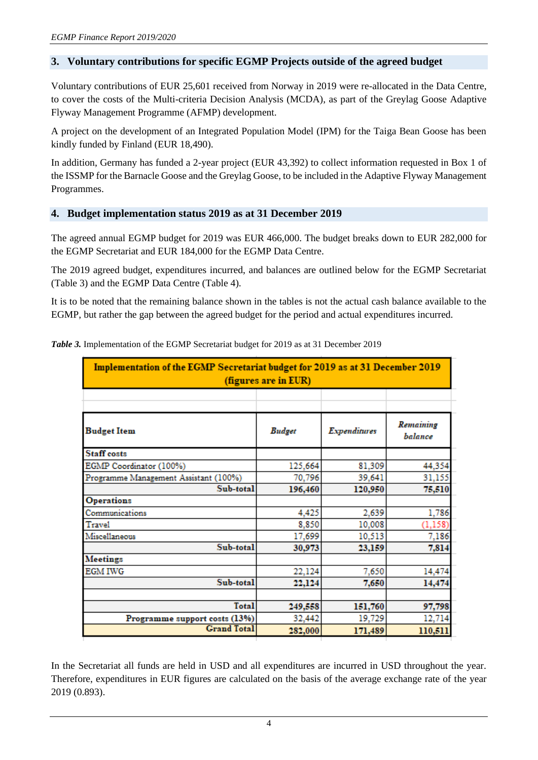## **3. Voluntary contributions for specific EGMP Projects outside of the agreed budget**

Voluntary contributions of EUR 25,601 received from Norway in 2019 were re-allocated in the Data Centre, to cover the costs of the Multi-criteria Decision Analysis (MCDA), as part of the Greylag Goose Adaptive Flyway Management Programme (AFMP) development.

A project on the development of an Integrated Population Model (IPM) for the Taiga Bean Goose has been kindly funded by Finland (EUR 18,490).

In addition, Germany has funded a 2-year project (EUR 43,392) to collect information requested in Box 1 of the ISSMP for the Barnacle Goose and the Greylag Goose, to be included in the Adaptive Flyway Management Programmes.

#### **4. Budget implementation status 2019 as at 31 December 2019**

The agreed annual EGMP budget for 2019 was EUR 466,000. The budget breaks down to EUR 282,000 for the EGMP Secretariat and EUR 184,000 for the EGMP Data Centre.

The 2019 agreed budget, expenditures incurred, and balances are outlined below for the EGMP Secretariat (Table 3) and the EGMP Data Centre (Table 4).

It is to be noted that the remaining balance shown in the tables is not the actual cash balance available to the EGMP, but rather the gap between the agreed budget for the period and actual expenditures incurred.

| Implementation of the EGMP Secretariat budget for 2019 as at 31 December 2019<br>(figures are in EUR) |               |                     |                      |  |  |  |
|-------------------------------------------------------------------------------------------------------|---------------|---------------------|----------------------|--|--|--|
|                                                                                                       |               |                     |                      |  |  |  |
| <b>Budget Item</b>                                                                                    | <b>Budget</b> | <b>Expenditures</b> | Remaining<br>balance |  |  |  |
| <b>Staff</b> costs                                                                                    |               |                     |                      |  |  |  |
| EGMP Coordinator (100%)                                                                               | 125,664       | 81,309              | 44,354               |  |  |  |
| Programme Management Assistant (100%)                                                                 | 70,796        | 39,641              | 31,155               |  |  |  |
| Sub-total                                                                                             | 196,460       | 120,950             | 75,510               |  |  |  |
| <b>Operations</b>                                                                                     |               |                     |                      |  |  |  |
| Communications                                                                                        | 4,425         | 2,639               | 1,786                |  |  |  |
| Travel                                                                                                | 8,850         | 10,008              | (1, 158)             |  |  |  |
| Miscellaneous                                                                                         | 17,699        | 10,513              | 7,186                |  |  |  |
| Sub-total                                                                                             | 30,973        | 23,159              | 7,814                |  |  |  |
| <b>Meetings</b>                                                                                       |               |                     |                      |  |  |  |
| <b>EGM IWG</b>                                                                                        | 22,124        | 7,650               | 14,474               |  |  |  |
| Sub-total                                                                                             | 22,124        | 7,650               | 14,474               |  |  |  |
|                                                                                                       |               |                     |                      |  |  |  |
| Total                                                                                                 | 249,558       | 151,760             | 97,798               |  |  |  |
| Programme support costs (13%)                                                                         | 32,442        | 19,729              | 12,714               |  |  |  |
| <b>Grand Total</b>                                                                                    | 282,000       | 171,489             | 110,511              |  |  |  |

*Table 3.* Implementation of the EGMP Secretariat budget for 2019 as at 31 December 2019

In the Secretariat all funds are held in USD and all expenditures are incurred in USD throughout the year. Therefore, expenditures in EUR figures are calculated on the basis of the average exchange rate of the year 2019 (0.893).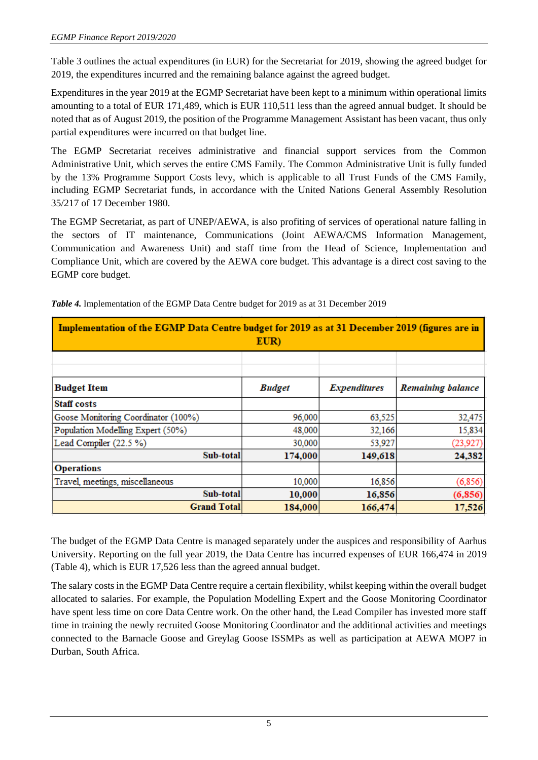Table 3 outlines the actual expenditures (in EUR) for the Secretariat for 2019, showing the agreed budget for 2019, the expenditures incurred and the remaining balance against the agreed budget.

Expenditures in the year 2019 at the EGMP Secretariat have been kept to a minimum within operational limits amounting to a total of EUR 171,489, which is EUR 110,511 less than the agreed annual budget. It should be noted that as of August 2019, the position of the Programme Management Assistant has been vacant, thus only partial expenditures were incurred on that budget line.

The EGMP Secretariat receives administrative and financial support services from the Common Administrative Unit, which serves the entire CMS Family. The Common Administrative Unit is fully funded by the 13% Programme Support Costs levy, which is applicable to all Trust Funds of the CMS Family, including EGMP Secretariat funds, in accordance with the United Nations General Assembly Resolution 35/217 of 17 December 1980.

The EGMP Secretariat, as part of UNEP/AEWA, is also profiting of services of operational nature falling in the sectors of IT maintenance, Communications (Joint AEWA/CMS Information Management, Communication and Awareness Unit) and staff time from the Head of Science, Implementation and Compliance Unit, which are covered by the AEWA core budget. This advantage is a direct cost saving to the EGMP core budget.

| Implementation of the EGMP Data Centre budget for 2019 as at 31 December 2019 (figures are in<br>EUR) |               |                     |                          |  |  |  |  |
|-------------------------------------------------------------------------------------------------------|---------------|---------------------|--------------------------|--|--|--|--|
|                                                                                                       |               |                     |                          |  |  |  |  |
| <b>Budget Item</b>                                                                                    | <b>Budget</b> | <b>Expenditures</b> | <b>Remaining balance</b> |  |  |  |  |
| <b>Staff costs</b>                                                                                    |               |                     |                          |  |  |  |  |
| Goose Monitoring Coordinator (100%)                                                                   | 96,000        | 63,525              | 32,475                   |  |  |  |  |
| Population Modelling Expert (50%)                                                                     | 48,000        | 32,166              | 15,834                   |  |  |  |  |
| Lead Compiler (22.5 %)                                                                                | 30,000        | 53,927              | (23, 927)                |  |  |  |  |
| Sub-total                                                                                             | 174,000       | 149,618             | 24,382                   |  |  |  |  |
| <b>Operations</b>                                                                                     |               |                     |                          |  |  |  |  |
| Travel, meetings, miscellaneous                                                                       | 10,000        | 16,856              | (6, 856)                 |  |  |  |  |
| Sub-total                                                                                             | 10,000        | 16,856              | (6, 856)                 |  |  |  |  |
| <b>Grand Total</b>                                                                                    | 184,000       | 166,474             | 17,526                   |  |  |  |  |

*Table 4.* Implementation of the EGMP Data Centre budget for 2019 as at 31 December 2019

The budget of the EGMP Data Centre is managed separately under the auspices and responsibility of Aarhus University. Reporting on the full year 2019, the Data Centre has incurred expenses of EUR 166,474 in 2019 (Table 4), which is EUR 17,526 less than the agreed annual budget.

The salary costs in the EGMP Data Centre require a certain flexibility, whilst keeping within the overall budget allocated to salaries. For example, the Population Modelling Expert and the Goose Monitoring Coordinator have spent less time on core Data Centre work. On the other hand, the Lead Compiler has invested more staff time in training the newly recruited Goose Monitoring Coordinator and the additional activities and meetings connected to the Barnacle Goose and Greylag Goose ISSMPs as well as participation at AEWA MOP7 in Durban, South Africa.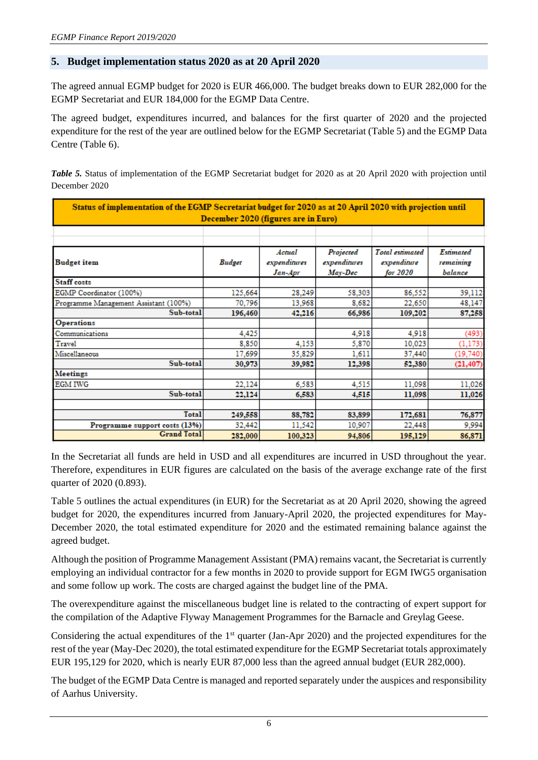## **5. Budget implementation status 2020 as at 20 April 2020**

The agreed annual EGMP budget for 2020 is EUR 466,000. The budget breaks down to EUR 282,000 for the EGMP Secretariat and EUR 184,000 for the EGMP Data Centre.

The agreed budget, expenditures incurred, and balances for the first quarter of 2020 and the projected expenditure for the rest of the year are outlined below for the EGMP Secretariat (Table 5) and the EGMP Data Centre (Table 6).

*Table 5.* Status of implementation of the EGMP Secretariat budget for 2020 as at 20 April 2020 with projection until December 2020

| Status of implementation of the EGMP Secretariat budget for 2020 as at 20 April 2020 with projection until<br>December 2020 (figures are in Euro) |               |                                   |                                      |                                                   |                                   |  |  |
|---------------------------------------------------------------------------------------------------------------------------------------------------|---------------|-----------------------------------|--------------------------------------|---------------------------------------------------|-----------------------------------|--|--|
|                                                                                                                                                   |               |                                   |                                      |                                                   |                                   |  |  |
| <b>Budget item</b>                                                                                                                                | <b>Budget</b> | Actual<br>expenditures<br>Jan-Apr | Projected<br>expenditures<br>May-Dec | <b>Total</b> estimated<br>expenditure<br>for 2020 | Estimated<br>remaining<br>balance |  |  |
| Staff costs                                                                                                                                       |               |                                   |                                      |                                                   |                                   |  |  |
| EGMP Coordinator (100%)                                                                                                                           | 125,664       | 28,249                            | 58,303                               | 86.552                                            | 39,112                            |  |  |
| Programme Management Assistant (100%)                                                                                                             | 70,796        | 13,968                            | 8,682                                | 22,650                                            | 48,147                            |  |  |
| Sub-total                                                                                                                                         | 196,460       | 42,216                            | 66,986                               | 109,202                                           | 87,258                            |  |  |
| <b>Operations</b>                                                                                                                                 |               |                                   |                                      |                                                   |                                   |  |  |
| Communications                                                                                                                                    | 4.425         |                                   | 4.918                                | 4.918                                             | (493)                             |  |  |
| Travel                                                                                                                                            | 8.850         | 4,153                             | 5,870                                | 10,023                                            | (1, 173)                          |  |  |
| Miscellaneous                                                                                                                                     | 17,699        | 35,829                            | 1,611                                | 37,440                                            | (19,740)                          |  |  |
| Sub-total                                                                                                                                         | 30.973        | 39.982                            | 12,398                               | 52,380                                            | (21, 407)                         |  |  |
| <b>Meetings</b>                                                                                                                                   |               |                                   |                                      |                                                   |                                   |  |  |
| <b>EGM IWG</b>                                                                                                                                    | 22,124        | 6,583                             | 4,515                                | 11,098                                            | 11,026                            |  |  |
| Sub-total                                                                                                                                         | 22,124        | 6.583                             | 4,515                                | 11,098                                            | 11,026                            |  |  |
| Total                                                                                                                                             | 249,558       | 88,782                            | 83,899                               | 172,681                                           | 76,877                            |  |  |
| Programme support costs (13%)                                                                                                                     | 32,442        | 11,542                            | 10,907                               | 22,448                                            | 9,994                             |  |  |
| <b>Grand Total</b>                                                                                                                                | 282,000       | 100,323                           | 94,806                               | 195,129                                           | 86,871                            |  |  |

In the Secretariat all funds are held in USD and all expenditures are incurred in USD throughout the year. Therefore, expenditures in EUR figures are calculated on the basis of the average exchange rate of the first quarter of 2020 (0.893).

Table 5 outlines the actual expenditures (in EUR) for the Secretariat as at 20 April 2020, showing the agreed budget for 2020, the expenditures incurred from January-April 2020, the projected expenditures for May-December 2020, the total estimated expenditure for 2020 and the estimated remaining balance against the agreed budget.

Although the position of Programme Management Assistant (PMA) remains vacant, the Secretariat is currently employing an individual contractor for a few months in 2020 to provide support for EGM IWG5 organisation and some follow up work. The costs are charged against the budget line of the PMA.

The overexpenditure against the miscellaneous budget line is related to the contracting of expert support for the compilation of the Adaptive Flyway Management Programmes for the Barnacle and Greylag Geese.

Considering the actual expenditures of the 1<sup>st</sup> quarter (Jan-Apr 2020) and the projected expenditures for the rest of the year (May-Dec 2020), the total estimated expenditure for the EGMP Secretariat totals approximately EUR 195,129 for 2020, which is nearly EUR 87,000 less than the agreed annual budget (EUR 282,000).

The budget of the EGMP Data Centre is managed and reported separately under the auspices and responsibility of Aarhus University.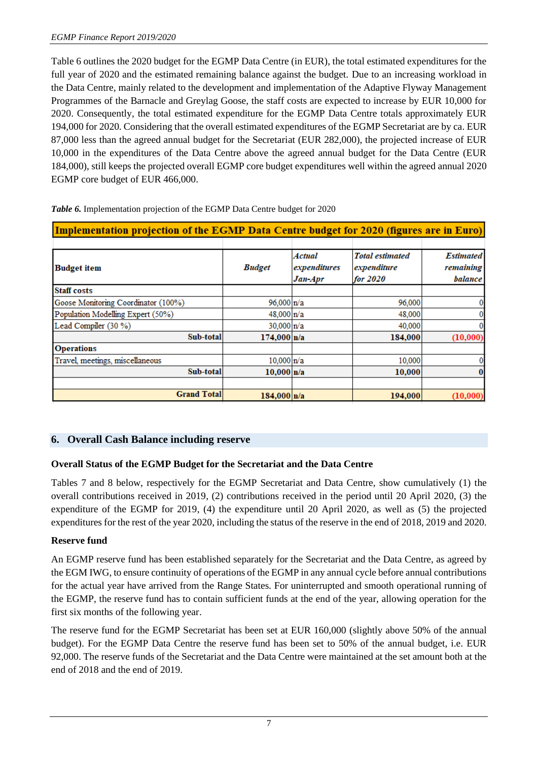Table 6 outlines the 2020 budget for the EGMP Data Centre (in EUR), the total estimated expenditures for the full year of 2020 and the estimated remaining balance against the budget. Due to an increasing workload in the Data Centre, mainly related to the development and implementation of the Adaptive Flyway Management Programmes of the Barnacle and Greylag Goose, the staff costs are expected to increase by EUR 10,000 for 2020. Consequently, the total estimated expenditure for the EGMP Data Centre totals approximately EUR 194,000 for 2020. Considering that the overall estimated expenditures of the EGMP Secretariat are by ca. EUR 87,000 less than the agreed annual budget for the Secretariat (EUR 282,000), the projected increase of EUR 10,000 in the expenditures of the Data Centre above the agreed annual budget for the Data Centre (EUR 184,000), still keeps the projected overall EGMP core budget expenditures well within the agreed annual 2020 EGMP core budget of EUR 466,000.

| Implementation projection of the EGMP Data Centre budget for 2020 (figures are in Euro) |                     |                                   |                                                   |                                          |  |  |
|-----------------------------------------------------------------------------------------|---------------------|-----------------------------------|---------------------------------------------------|------------------------------------------|--|--|
| Budget item                                                                             | <b>Budget</b>       | Actual<br>expenditures<br>Jan-Apr | <b>Total estimated</b><br>expenditure<br>for 2020 | <b>Estimated</b><br>remaining<br>balance |  |  |
| <b>Staff costs</b>                                                                      |                     |                                   |                                                   |                                          |  |  |
| Goose Monitoring Coordinator (100%)                                                     | 96,000 n/a          |                                   | 96,000                                            | 0                                        |  |  |
| Population Modelling Expert (50%)                                                       | 48,000 n/a          |                                   | 48,000                                            |                                          |  |  |
| Lead Compiler (30 %)                                                                    | 30.000 n/a          |                                   | 40,000                                            |                                          |  |  |
| Sub-total                                                                               | $174,000 \vert n/a$ |                                   | 184,000                                           | (10,000)                                 |  |  |
| <b>Operations</b>                                                                       |                     |                                   |                                                   |                                          |  |  |
| Travel, meetings, miscellaneous                                                         | 10.000 n/a          |                                   | 10,000                                            |                                          |  |  |
| Sub-total                                                                               | 10,000 n/a          |                                   | 10,000                                            | 0                                        |  |  |
| <b>Grand Total</b>                                                                      | 184,000 n/a         |                                   | 194,000                                           | (10,000)                                 |  |  |

*Table 6.* Implementation projection of the EGMP Data Centre budget for 2020

# **6. Overall Cash Balance including reserve**

# **Overall Status of the EGMP Budget for the Secretariat and the Data Centre**

Tables 7 and 8 below, respectively for the EGMP Secretariat and Data Centre, show cumulatively (1) the overall contributions received in 2019, (2) contributions received in the period until 20 April 2020, (3) the expenditure of the EGMP for 2019, (4) the expenditure until 20 April 2020, as well as (5) the projected expenditures for the rest of the year 2020, including the status of the reserve in the end of 2018, 2019 and 2020.

#### **Reserve fund**

An EGMP reserve fund has been established separately for the Secretariat and the Data Centre, as agreed by the EGM IWG, to ensure continuity of operations of the EGMP in any annual cycle before annual contributions for the actual year have arrived from the Range States. For uninterrupted and smooth operational running of the EGMP, the reserve fund has to contain sufficient funds at the end of the year, allowing operation for the first six months of the following year.

The reserve fund for the EGMP Secretariat has been set at EUR 160,000 (slightly above 50% of the annual budget). For the EGMP Data Centre the reserve fund has been set to 50% of the annual budget, i.e. EUR 92,000. The reserve funds of the Secretariat and the Data Centre were maintained at the set amount both at the end of 2018 and the end of 2019.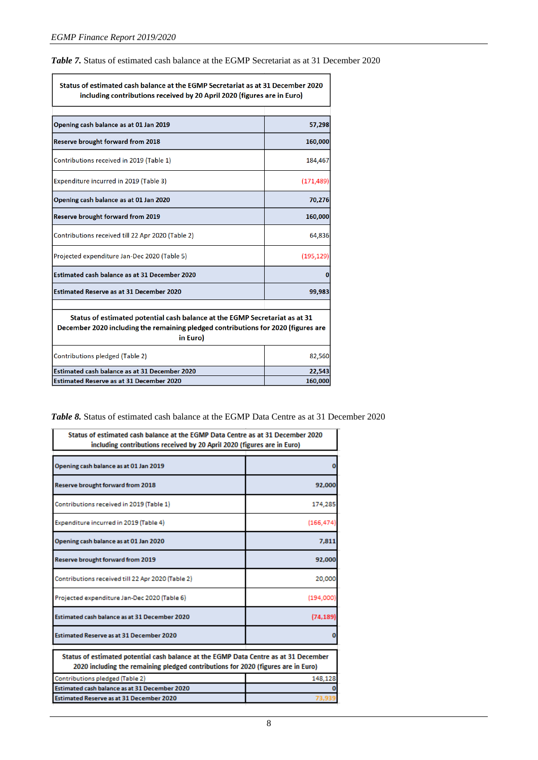*Table 7.* Status of estimated cash balance at the EGMP Secretariat as at 31 December 2020

| Status of estimated cash balance at the EGMP Secretariat as at 31 December 2020<br>including contributions received by 20 April 2020 (figures are in Euro)                   |            |  |  |  |
|------------------------------------------------------------------------------------------------------------------------------------------------------------------------------|------------|--|--|--|
|                                                                                                                                                                              |            |  |  |  |
| Opening cash balance as at 01 Jan 2019                                                                                                                                       | 57,298     |  |  |  |
| Reserve brought forward from 2018                                                                                                                                            | 160,000    |  |  |  |
| Contributions received in 2019 (Table 1)                                                                                                                                     | 184,467    |  |  |  |
| Expenditure incurred in 2019 (Table 3)                                                                                                                                       | (171, 489) |  |  |  |
| Opening cash balance as at 01 Jan 2020                                                                                                                                       | 70,276     |  |  |  |
| Reserve brought forward from 2019                                                                                                                                            | 160,000    |  |  |  |
| Contributions received till 22 Apr 2020 (Table 2)                                                                                                                            | 64,836     |  |  |  |
| Projected expenditure Jan-Dec 2020 (Table 5)                                                                                                                                 | (195, 129) |  |  |  |
| Estimated cash balance as at 31 December 2020                                                                                                                                | Ω          |  |  |  |
| <b>Estimated Reserve as at 31 December 2020</b>                                                                                                                              | 99,983     |  |  |  |
| Status of estimated potential cash balance at the EGMP Secretariat as at 31<br>December 2020 including the remaining pledged contributions for 2020 (figures are<br>in Euro) |            |  |  |  |
| Contributions pledged (Table 2)                                                                                                                                              | 82,560     |  |  |  |
| Estimated cash balance as at 31 December 2020                                                                                                                                | 22,543     |  |  |  |
| <b>Estimated Reserve as at 31 December 2020</b>                                                                                                                              | 160,000    |  |  |  |

*Table 8.* Status of estimated cash balance at the EGMP Data Centre as at 31 December 2020

| Status of estimated cash balance at the EGMP Data Centre as at 31 December 2020<br>including contributions received by 20 April 2020 (figures are in Euro)                |            |  |  |  |  |
|---------------------------------------------------------------------------------------------------------------------------------------------------------------------------|------------|--|--|--|--|
| Opening cash balance as at 01 Jan 2019                                                                                                                                    |            |  |  |  |  |
| Reserve brought forward from 2018                                                                                                                                         | 92,000     |  |  |  |  |
| Contributions received in 2019 (Table 1)                                                                                                                                  | 174,285    |  |  |  |  |
| Expenditure incurred in 2019 (Table 4)                                                                                                                                    | (166, 474) |  |  |  |  |
| Opening cash balance as at 01 Jan 2020                                                                                                                                    | 7.811      |  |  |  |  |
| Reserve brought forward from 2019                                                                                                                                         | 92,000     |  |  |  |  |
| Contributions received till 22 Apr 2020 (Table 2)                                                                                                                         | 20,000     |  |  |  |  |
| Projected expenditure Jan-Dec 2020 (Table 6)                                                                                                                              | (194,000)  |  |  |  |  |
| Estimated cash balance as at 31 December 2020                                                                                                                             | (74, 189)  |  |  |  |  |
| <b>Estimated Reserve as at 31 December 2020</b>                                                                                                                           |            |  |  |  |  |
| Status of estimated potential cash balance at the EGMP Data Centre as at 31 December<br>2020 including the remaining pledged contributions for 2020 (figures are in Euro) |            |  |  |  |  |
| Contributions pledged (Table 2)                                                                                                                                           | 148,128    |  |  |  |  |
| Estimated cash balance as at 31 December 2020<br><b>Estimated Reserve as at 31 December 2020</b>                                                                          |            |  |  |  |  |